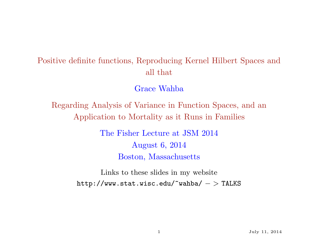## Positive definite functions, Reproducing Kernel Hilbert Spaces and all that

Grace Wahba

Regarding Analysis of Variance in Function Spaces, and an Application to Mortality as it Runs in Families

> The Fisher Lecture at JSM 2014 August 6, 2014 Boston, Massachusetts

Links to these slides in my website  $http://www.stat.wisc.edu/~wahba/~>TLKS$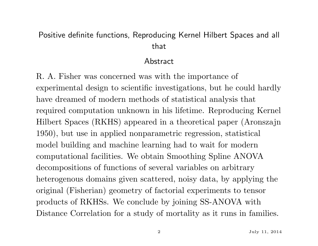## Positive definite functions, Reproducing Kernel Hilbert Spaces and all that

#### Abstract

R. A. Fisher was concerned was with the importance of experimental design to scientific investigations, but he could hardly have dreamed of modern methods of statistical analysis that required computation unknown in his lifetime. Reproducing Kernel Hilbert Spaces (RKHS) appeared in a theoretical paper (Aronszajn 1950), but use in applied nonparametric regression, statistical model building and machine learning had to wait for modern computational facilities. We obtain Smoothing Spline ANOVA decompositions of functions of several variables on arbitrary heterogenous domains given scattered, noisy data, by applying the original (Fisherian) geometry of factorial experiments to tensor products of RKHSs. We conclude by joining SS-ANOVA with Distance Correlation for a study of mortality as it runs in families.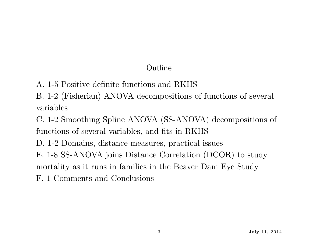## Outline

- A. 1-5 Positive definite functions and RKHS
- B. 1-2 (Fisherian) ANOVA decompositions of functions of several variables

C. 1-2 Smoothing Spline ANOVA (SS-ANOVA) decompositions of functions of several variables, and fits in RKHS

D. 1-2 Domains, distance measures, practical issues

E. 1-8 SS-ANOVA joins Distance Correlation (DCOR) to study

mortality as it runs in families in the Beaver Dam Eye Study

F. 1 Comments and Conclusions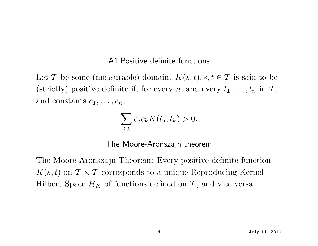#### A1.Positive definite functions

Let T be some (measurable) domain.  $K(s,t)$ ,  $s, t \in \mathcal{T}$  is said to be (strictly) positive definite if, for every *n*, and every  $t_1, \ldots, t_n$  in  $\mathcal{T}$ , and constants  $c_1, \ldots, c_n$ ,

$$
\sum_{j,k} c_j c_k K(t_j, t_k) > 0.
$$

The Moore-Aronszajn theorem

The Moore-Aronszajn Theorem: Every positive definite function  $K(s,t)$  on  $\mathcal{T} \times \mathcal{T}$  corresponds to a unique Reproducing Kernel Hilbert Space  $\mathcal{H}_K$  of functions defined on T, and vice versa.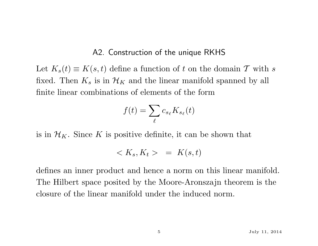#### A2. Construction of the unique RKHS

Let  $K_s(t) \equiv K(s, t)$  define a function of t on the domain T with s fixed. Then  $K_s$  is in  $\mathcal{H}_K$  and the linear manifold spanned by all finite linear combinations of elements of the form

$$
f(t) = \sum_{\ell} c_{s_{\ell}} K_{s_{\ell}}(t)
$$

is in  $\mathcal{H}_K$ . Since K is positive definite, it can be shown that

$$
\langle K_s, K_t \rangle = K(s, t)
$$

defines an inner product and hence a norm on this linear manifold. The Hilbert space posited by the Moore-Aronszajn theorem is the closure of the linear manifold under the induced norm.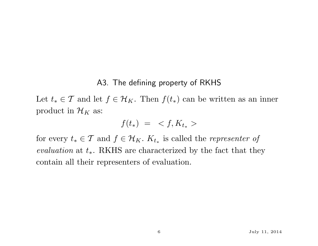#### A3. The defining property of RKHS

Let  $t_* \in \mathcal{T}$  and let  $f \in \mathcal{H}_K$ . Then  $f(t_*)$  can be written as an inner product in  $\mathcal{H}_K$  as:

$$
f(t_*) = \langle f, K_{t_*} \rangle
$$

for every  $t_* \in \mathcal{T}$  and  $f \in \mathcal{H}_K$ .  $K_{t_*}$  is called the *representer of* evaluation at  $t_*$ . RKHS are characterized by the fact that they contain all their representers of evaluation.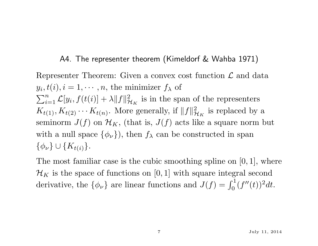#### A4. The representer theorem (Kimeldorf & Wahba 1971)

Representer Theorem: Given a convex cost function  $\mathcal L$  and data  $y_i, t(i), i = 1, \cdots, n$ , the minimizer  $f_\lambda$  of  $\sum_{i=1}^n \mathcal{L}[y_i, f(t(i)) + \lambda ||f||_p^2$  $\mathcal{H}_K$  is in the span of the representers  $K_{t(1)}, K_{t(2)} \cdots K_{t(n)}$ . More generally, if  $||f||_p^2$  $\frac{2}{\mathcal{H}_K}$  is replaced by a seminorm  $J(f)$  on  $\mathcal{H}_K$ , (that is,  $J(f)$  acts like a square norm but with a null space  $\{\phi_{\nu}\}\)$ , then  $f_{\lambda}$  can be constructed in span  $\{\phi_{\nu}\}\cup\{K_{t(i)}\}.$ 

The most familiar case is the cubic smoothing spline on  $[0, 1]$ , where  $\mathcal{H}_K$  is the space of functions on [0, 1] with square integral second derivative, the  $\{\phi_{\nu}\}\$ are linear functions and  $J(f) = \int_0^1 (f''(t))^2 dt$ .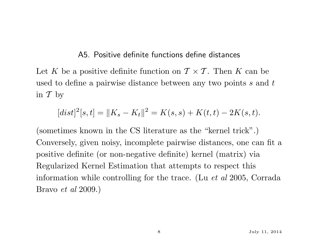#### A5. Positive definite functions define distances

Let K be a positive definite function on  $\mathcal{T} \times \mathcal{T}$ . Then K can be used to define a pairwise distance between any two points s and t in  $\mathcal T$  by

$$
[dist]^2[s,t] = \|K_s - K_t\|^2 = K(s,s) + K(t,t) - 2K(s,t).
$$

(sometimes known in the CS literature as the "kernel trick".) Conversely, given noisy, incomplete pairwise distances, one can fit a positive definite (or non-negative definite) kernel (matrix) via Regularized Kernel Estimation that attempts to respect this information while controlling for the trace. (Lu et al 2005, Corrada Bravo et al 2009.)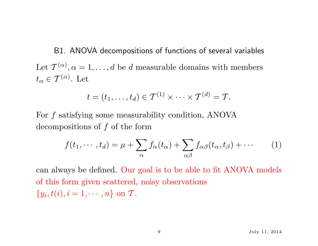B1. ANOVA decompositions of functions of several variables Let  $\mathcal{T}^{(\alpha)}, \alpha = 1, \ldots, d$  be d measurable domains with members  $t_{\alpha} \in \mathcal{T}^{(\alpha)}$ . Let

$$
t=(t_1,\ldots,t_d)\in \mathcal{T}^{(1)}\times\cdots\times \mathcal{T}^{(d)}=\mathcal{T}.
$$

For f satisfying some measurability condition, ANOVA decompositions of  $f$  of the form

$$
f(t_1, \cdots, t_d) = \mu + \sum_{\alpha} f_{\alpha}(t_{\alpha}) + \sum_{\alpha \beta} f_{\alpha \beta}(t_{\alpha}, t_{\beta}) + \cdots
$$
 (1)

can always be defined. Our goal is to be able to fit ANOVA models of this form given scattered, noisy observations  $\{y_i, t(i), i = 1, \cdots, n\}$  on  $\mathcal{T}$ .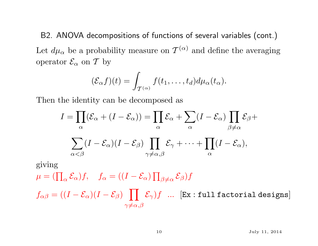B2. ANOVA decompositions of functions of several variables (cont.) Let  $d\mu_{\alpha}$  be a probability measure on  $\mathcal{T}^{(\alpha)}$  and define the averaging operator  $\mathcal{E}_{\alpha}$  on T by

$$
(\mathcal{E}_{\alpha}f)(t)=\int_{\mathcal{T}^{(\alpha)}}f(t_1,\ldots,t_d)d\mu_{\alpha}(t_{\alpha}).
$$

Then the identity can be decomposed as

$$
I = \prod_{\alpha} (\mathcal{E}_{\alpha} + (I - \mathcal{E}_{\alpha})) = \prod_{\alpha} \mathcal{E}_{\alpha} + \sum_{\alpha} (I - \mathcal{E}_{\alpha}) \prod_{\beta \neq \alpha} \mathcal{E}_{\beta} +
$$

$$
\sum_{\alpha < \beta} (I - \mathcal{E}_{\alpha})(I - \mathcal{E}_{\beta}) \prod_{\gamma \neq \alpha, \beta} \mathcal{E}_{\gamma} + \dots + \prod_{\alpha} (I - \mathcal{E}_{\alpha}),
$$

giving  $\mu = (\prod_\alpha \mathcal{E}_\alpha) f, \quad f_\alpha = ((I - \mathcal{E}_\alpha) \prod_{\beta \neq \alpha} \mathcal{E}_\beta) f$ 

 $f_{\alpha\beta} = ((I-\mathcal{E}_\alpha)(I-\mathcal{E}_\beta) \;\;\;\prod\;\; \mathcal{E}_\gamma) f \;\; ... \;\; [\texttt{Ex} : \texttt{full factorial designs}]$  $\gamma \neq \alpha, \beta$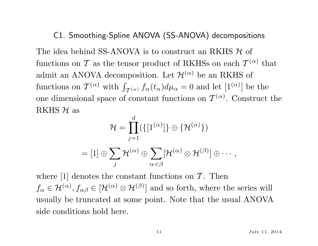#### C1. Smoothing-Spline ANOVA (SS-ANOVA) decompositions

The idea behind SS-ANOVA is to construct an RKHS  $H$  of functions on  $\mathcal T$  as the tensor product of RKHSs on each  $\mathcal T^{(\alpha)}$  that admit an ANOVA decomposition. Let  $\mathcal{H}^{(\alpha)}$  be an RKHS of functions on  $\mathcal{T}^{(\alpha)}$  with  $\int_{\mathcal{T}^{(\alpha)}} f_{\alpha}(t_{\alpha}) d\mu_{\alpha} = 0$  and let  $[1^{(\alpha)}]$  be the one dimensional space of constant functions on  $\mathcal{T}^{(\alpha)}$ . Construct the RKHS  $H$  as

$$
\mathcal{H} = \prod_{j=1}^d (\{ [1^{(\alpha)}] \} \oplus \{ \mathcal{H}^{(\alpha)} \})
$$
  
= [1]  $\oplus \sum_j \mathcal{H}^{(\alpha)} \oplus \sum_{\alpha < \beta} [\mathcal{H}^{(\alpha)} \otimes \mathcal{H}^{(\beta)}] \oplus \cdots,$ 

where  $[1]$  denotes the constant functions on  $\mathcal T$ . Then  $f_{\alpha} \in \mathcal{H}^{(\alpha)}$ ,  $f_{\alpha\beta} \in [\mathcal{H}^{(\alpha)} \otimes \mathcal{H}^{(\beta)}]$  and so forth, where the series will usually be truncated at some point. Note that the usual ANOVA side conditions hold here.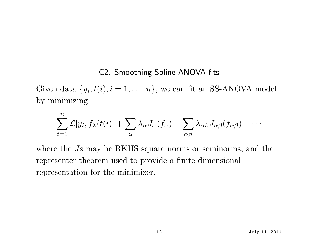#### C2. Smoothing Spline ANOVA fits

Given data  $\{y_i, t(i), i = 1, \ldots, n\}$ , we can fit an SS-ANOVA model by minimizing

$$
\sum_{i=1}^n \mathcal{L}[y_i, f_\lambda(t(i)] + \sum_{\alpha} \lambda_\alpha J_\alpha(f_\alpha) + \sum_{\alpha\beta} \lambda_{\alpha\beta} J_{\alpha\beta}(f_{\alpha\beta}) + \cdots
$$

where the Js may be RKHS square norms or seminorms, and the representer theorem used to provide a finite dimensional representation for the minimizer.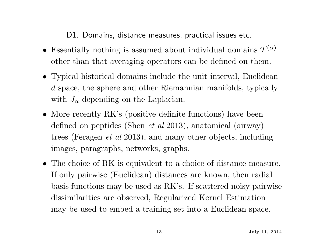D1. Domains, distance measures, practical issues etc.

- Essentially nothing is assumed about individual domains  $\mathcal{T}^{(\alpha)}$ other than that averaging operators can be defined on them.
- Typical historical domains include the unit interval, Euclidean d space, the sphere and other Riemannian manifolds, typically with  $J_{\alpha}$  depending on the Laplacian.
- More recently RK's (positive definite functions) have been defined on peptides (Shen et al 2013), anatomical (airway) trees (Feragen et al 2013), and many other objects, including images, paragraphs, networks, graphs.
- The choice of RK is equivalent to a choice of distance measure. If only pairwise (Euclidean) distances are known, then radial basis functions may be used as RK's. If scattered noisy pairwise dissimilarities are observed, Regularized Kernel Estimation may be used to embed a training set into a Euclidean space.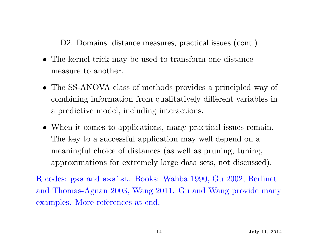D2. Domains, distance measures, practical issues (cont.)

- The kernel trick may be used to transform one distance measure to another.
- The SS-ANOVA class of methods provides a principled way of combining information from qualitatively different variables in a predictive model, including interactions.
- When it comes to applications, many practical issues remain. The key to a successful application may well depend on a meaningful choice of distances (as well as pruning, tuning, approximations for extremely large data sets, not discussed).

R codes: gss and assist. Books: Wahba 1990, Gu 2002, Berlinet and Thomas-Agnan 2003, Wang 2011. Gu and Wang provide many examples. More references at end.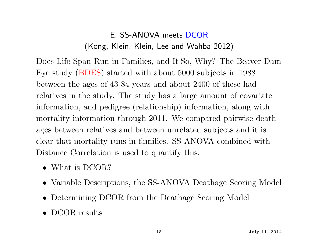## E. SS-ANOVA meets DCOR (Kong, Klein, Klein, Lee and Wahba 2012)

Does Life Span Run in Families, and If So, Why? The Beaver Dam Eye study (BDES) started with about 5000 subjects in 1988 between the ages of 43-84 years and about 2400 of these had relatives in the study. The study has a large amount of covariate information, and pedigree (relationship) information, along with mortality information through 2011. We compared pairwise death ages between relatives and between unrelated subjects and it is clear that mortality runs in families. SS-ANOVA combined with Distance Correlation is used to quantify this.

- What is DCOR?
- Variable Descriptions, the SS-ANOVA Deathage Scoring Model
- Determining DCOR from the Deathage Scoring Model
- DCOR results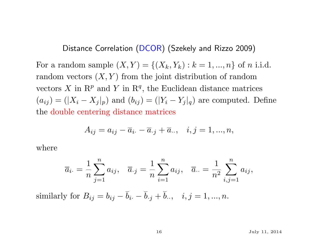Distance Correlation (DCOR) (Szekely and Rizzo 2009)

For a random sample  $(X, Y) = \{(X_k, Y_k) : k = 1, ..., n\}$  of *n* i.i.d. random vectors  $(X, Y)$  from the joint distribution of random vectors X in  $\mathbb{R}^p$  and Y in  $\mathbb{R}^q$ , the Euclidean distance matrices  $(a_{ij}) = (|X_i - X_j|_p)$  and  $(b_{ij}) = (|Y_i - Y_j|_q)$  are computed. Define the double centering distance matrices

$$
A_{ij} = a_{ij} - \overline{a}_{i.} - \overline{a}_{.j} + \overline{a}_{..}, \quad i, j = 1, ..., n,
$$

where

$$
\overline{a}_{i\cdot} = \frac{1}{n} \sum_{j=1}^{n} a_{ij}, \quad \overline{a}_{\cdot j} = \frac{1}{n} \sum_{i=1}^{n} a_{ij}, \quad \overline{a}_{\cdot \cdot} = \frac{1}{n^2} \sum_{i,j=1}^{n} a_{ij},
$$

similarly for  $B_{ij} = b_{ij} - \bar{b}_{i} - \bar{b}_{i} + \bar{b}_{i}$ ,  $i, j = 1, ..., n$ .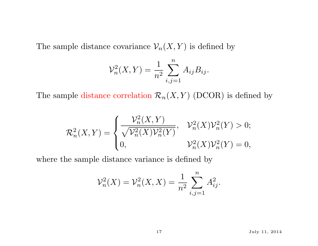The sample distance covariance  $\mathcal{V}_n(X, Y)$  is defined by

$$
\mathcal{V}_n^2(X, Y) = \frac{1}{n^2} \sum_{i,j=1}^n A_{ij} B_{ij}.
$$

The sample distance correlation  $\mathcal{R}_n(X, Y)$  (DCOR) is defined by

$$
\mathcal{R}_n^2(X,Y) = \begin{cases} \frac{\mathcal{V}_n^2(X,Y)}{\sqrt{\mathcal{V}_n^2(X)\mathcal{V}_n^2(Y)}}, & \mathcal{V}_n^2(X)\mathcal{V}_n^2(Y) > 0; \\ 0, & \mathcal{V}_n^2(X)\mathcal{V}_n^2(Y) = 0, \end{cases}
$$

where the sample distance variance is defined by

$$
\mathcal{V}_n^2(X) = \mathcal{V}_n^2(X, X) = \frac{1}{n^2} \sum_{i,j=1}^n A_{ij}^2.
$$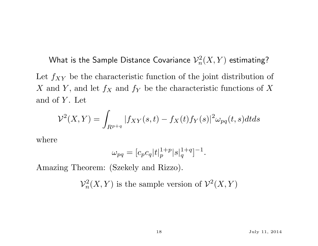What is the Sample Distance Covariance  $\mathcal{V}_n^2$  $\chi^2_n(X,Y)$  estimating? Let  $f_{XY}$  be the characteristic function of the joint distribution of X and Y, and let  $f_X$  and  $f_Y$  be the characteristic functions of X and of  $Y$ . Let

$$
\mathcal{V}^2(X,Y) = \int_{R^{p+q}} |f_{XY}(s,t) - f_X(t)f_Y(s)|^2 \omega_{pq}(t,s)dtds
$$

where

$$
\omega_{pq} = [c_p c_q |t|_p^{1+p} |s|_q^{1+q}]^{-1}.
$$

Amazing Theorem: (Szekely and Rizzo).

 $\mathcal{V}_n^2$  $n^2(X,Y)$  is the sample version of  $\mathcal{V}^2(X,Y)$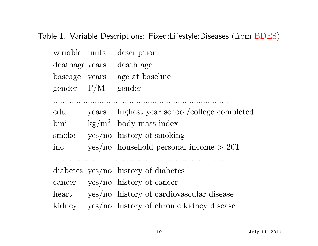Table 1. Variable Descriptions: Fixed:Lifestyle:Diseases (from BDES)

| variable units |       | description                               |
|----------------|-------|-------------------------------------------|
| deathage years |       | death age                                 |
| baseage years  |       | age at baseline                           |
| gender $F/M$   |       | gender                                    |
|                |       |                                           |
| $_{\rm edu}$   | years | highest year school/college completed     |
| bmi            |       | $\text{kg/m}^2$ body mass index           |
| smoke          |       | $yes/no$ history of smoking               |
| inc            |       | $yes/no$ household personal income $>20T$ |
|                |       |                                           |
|                |       | diabetes yes/no history of diabetes       |
| cancer         |       | $yes/no$ history of cancer                |
| heart          |       | yes/no history of cardiovascular disease  |
| kidney         |       | yes/no history of chronic kidney disease  |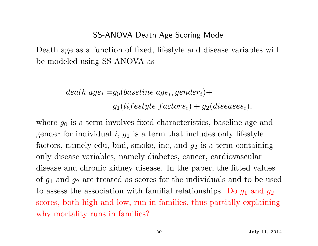#### SS-ANOVA Death Age Scoring Model

Death age as a function of fixed, lifestyle and disease variables will be modeled using SS-ANOVA as

> $\emph{death age}_i = g_0 (baseline age_i, gender_i) +$  $g_1 (liftestyle\:factors_i) + g_2 (discases_i),$

where  $g_0$  is a term involves fixed characteristics, baseline age and gender for individual  $i, g_1$  is a term that includes only lifestyle factors, namely edu, bmi, smoke, inc, and  $g_2$  is a term containing only disease variables, namely diabetes, cancer, cardiovascular disease and chronic kidney disease. In the paper, the fitted values of  $g_1$  and  $g_2$  are treated as scores for the individuals and to be used to assess the association with familial relationships. Do  $g_1$  and  $g_2$ scores, both high and low, run in families, thus partially explaining why mortality runs in families?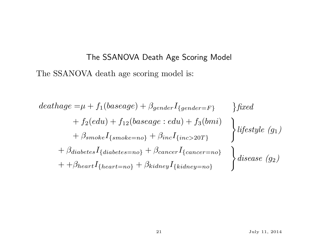# The SSANOVA Death Age Scoring Model The SSANOVA death age scoring model is:

$$
deathage = \mu + f_1(baseage) + \beta_{gender}I_{\{gender=F\}} \} fixed
$$
  
+  $f_2(edu) + f_{12}(baseage:edu) + f_3(bmi)$   
+  $\beta_{smoke}I_{\{smoke=no\}} + \beta_{inc}I_{\{inc>20T\}} \}$   
+  $\beta_{diabetes}I_{\{diabetes=no\}} + \beta_{cancel}I_{\{cancer=no\}} \}$   
+  $\beta_{heart}I_{\{heart=no\}} + \beta_{kidney}I_{\{kidney=no\}} \}$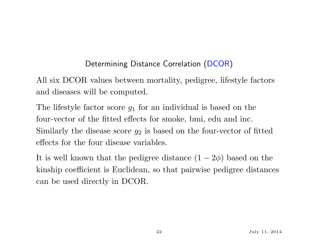### Determining Distance Correlation (DCOR)

All six DCOR values between mortality, pedigree, lifestyle factors and diseases will be computed.

The lifestyle factor score  $g_1$  for an individual is based on the four-vector of the fitted effects for smoke, bmi, edu and inc. Similarly the disease score  $g_2$  is based on the four-vector of fitted effects for the four disease variables.

It is well known that the pedigree distance  $(1 - 2\phi)$  based on the kinship coefficient is Euclidean, so that pairwise pedigree distances can be used directly in DCOR.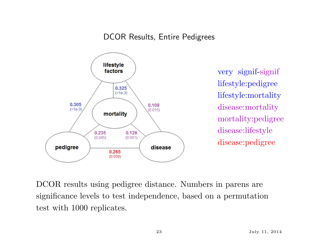#### DCOR Results, Entire Pedigrees



very signif-signif lifestyle:pedigree lifestyle:mortality disease:mortality mortality:pedigree disease:lifestyle disease:pedigree

DCOR results using pedigree distance. Numbers in parens are significance levels to test independence, based on a permutation test with 1000 replicates.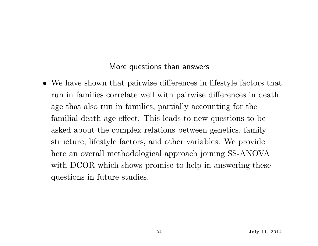#### More questions than answers

• We have shown that pairwise differences in lifestyle factors that run in families correlate well with pairwise differences in death age that also run in families, partially accounting for the familial death age effect. This leads to new questions to be asked about the complex relations between genetics, family structure, lifestyle factors, and other variables. We provide here an overall methodological approach joining SS-ANOVA with DCOR which shows promise to help in answering these questions in future studies.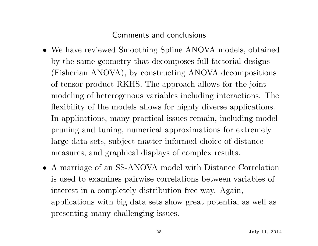#### Comments and conclusions

- We have reviewed Smoothing Spline ANOVA models, obtained by the same geometry that decomposes full factorial designs (Fisherian ANOVA), by constructing ANOVA decompositions of tensor product RKHS. The approach allows for the joint modeling of heterogenous variables including interactions. The flexibility of the models allows for highly diverse applications. In applications, many practical issues remain, including model pruning and tuning, numerical approximations for extremely large data sets, subject matter informed choice of distance measures, and graphical displays of complex results.
- A marriage of an SS-ANOVA model with Distance Correlation is used to examines pairwise correlations between variables of interest in a completely distribution free way. Again, applications with big data sets show great potential as well as presenting many challenging issues.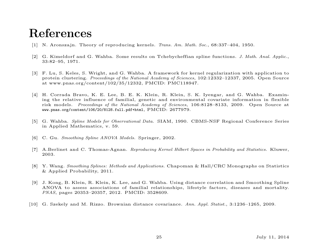## References

- [1] N. Aronszajn. Theory of reproducing kernels. Trans. Am. Math. Soc., 68:337–404, 1950.
- [2] G. Kimeldorf and G. Wahba. Some results on Tchebycheffian spline functions. J. Math. Anal. Applic., 33:82–95, 1971.
- [3] F. Lu, S. Keles, S. Wright, and G. Wahba. A framework for kernel regularization with application to protein clustering. Proceedings of the National Academy of Sciences, 102:12332–12337, 2005. Open Source at www.pnas.org/content/102/35/12332, PMCID: PMC118947.
- [4] H. Corrada Bravo, K. E. Lee, B. E. K. Klein, R. Klein, S. K. Iyengar, and G. Wahba. Examining the relative influence of familial, genetic and environmental covariate information in flexible risk models. Proceedings of the National Academy of Sciences, 106:8128–8133, 2009. Open Source at www.pnas.org/content/106/20/8128.full.pdf+html, PMCID: 2677979.
- [5] G. Wahba. Spline Models for Observational Data. SIAM, 1990. CBMS-NSF Regional Conference Series in Applied Mathematics, v. 59.
- [6] C. Gu. Smoothing Spline ANOVA Models. Springer, 2002.
- [7] A.Berlinet and C. Thomas-Agnan. Reproducing Kernel Hilbert Spaces in Probability and Statistics. Kluwer, 2003.
- [8] Y. Wang. Smoothing Splines: Methods and Applications. Chapoman & Hall/CRC Monographs on Statistics & Applied Probability, 2011.
- [9] J. Kong, B. Klein, R. Klein, K. Lee, and G. Wahba. Using distance correlation and Smoothing Spline ANOVA to assess associations of familial relationships, lifestyle factors, diseases and mortality. PNAS, pages 20353–20357, 2012. PMCID: 3528609.
- [10] G. Szekely and M. Rizzo. Brownian distance covariance. Ann. Appl. Statist., 3:1236–1265, 2009.